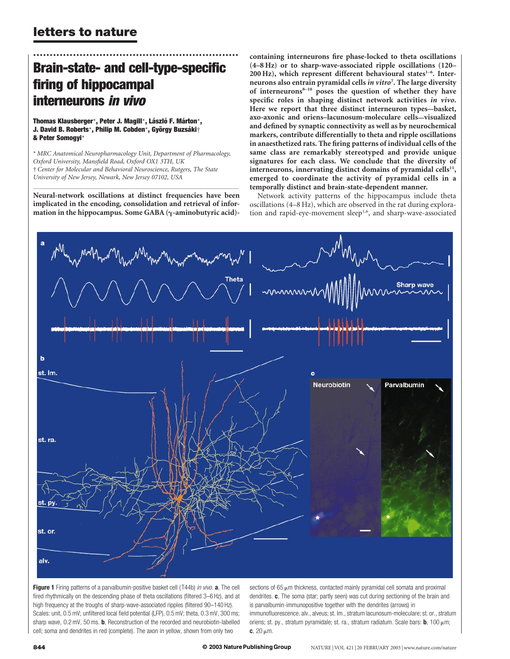# .............................................................. Brain-state- and cell-type-specific firing of hippocampal interneurons in vivo

Thomas Klausberger\*, Peter J. Magill\*, László F. Márton\*, J. David B. Roberts\*, Philip M. Cobden\*, György Buzsáki† & Peter Somogyi\*

\* MRC Anatomical Neuropharmacology Unit, Department of Pharmacology, Oxford University, Mansfield Road, Oxford OX1 3TH, UK † Center for Molecular and Behavioral Neuroscience, Rutgers, The State University of New Jersey, Newark, New Jersey 07102, USA

............................................................................................................................................................................. Neural-network oscillations at distinct frequencies have been implicated in the encoding, consolidation and retrieval of information in the hippocampus. Some GABA  $(\gamma$ -aminobutyric acid)-

containing interneurons fire phase-locked to theta oscillations (4–8 Hz) or to sharp-wave-associated ripple oscillations (120–  $200$  Hz), which represent different behavioural states<sup>1-6</sup>. Interneurons also entrain pyramidal cells in vitro<sup>7</sup>. The large diversity of interneurons $8-10$  poses the question of whether they have specific roles in shaping distinct network activities in vivo. Here we report that three distinct interneuron types—basket, axo-axonic and oriens–lacunosum-moleculare cells—visualized and defined by synaptic connectivity as well as by neurochemical markers, contribute differentially to theta and ripple oscillations in anaesthetized rats. The firing patterns of individual cells of the same class are remarkably stereotyped and provide unique signatures for each class. We conclude that the diversity of interneurons, innervating distinct domains of pyramidal cells<sup>11</sup>, emerged to coordinate the activity of pyramidal cells in a temporally distinct and brain-state-dependent manner.

Network activity patterns of the hippocampus include theta oscillations (4–8 Hz), which are observed in the rat during exploration and rapid-eye-movement sleep<sup>1,6</sup>, and sharp-wave-associated



Figure 1 Firing patterns of a parvalbumin-positive basket cell (T44b) in vivo. a, The cell fired rhythmically on the descending phase of theta oscillations (filtered 3–6 Hz), and at high frequency at the troughs of sharp-wave-associated ripples (filtered 90–140 Hz). Scales: unit, 0.5 mV; unfiltered local field potential (LFP), 0.5 mV; theta, 0.3 mV, 300 ms; sharp wave, 0.2 mV, 50 ms. **b**, Reconstruction of the recorded and neurobiotin-labelled cell; soma and dendrites in red (complete). The axon in yellow, shown from only two

sections of 65  $\mu$ m thickness, contacted mainly pyramidal cell somata and proximal dendrites. c, The soma (star; partly seen) was cut during sectioning of the brain and is parvalbumin-immunopositive together with the dendrites (arrows) in immunofluorescence. alv., alveus; st. lm., stratum lacunosum-moleculare; st. or., stratum oriens; st. py., stratum pyramidale; st. ra., stratum radiatum. Scale bars: **b**, 100  $\mu$ m;  $c, 20 \mu m.$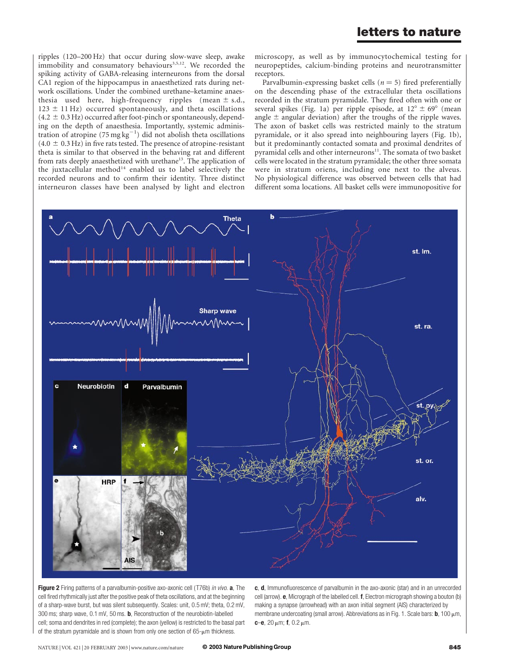ripples (120–200 Hz) that occur during slow-wave sleep, awake immobility and consumatory behaviours<sup>3,5,12</sup>. We recorded the spiking activity of GABA-releasing interneurons from the dorsal CA1 region of the hippocampus in anaesthetized rats during network oscillations. Under the combined urethane–ketamine anaesthesia used here, high-frequency ripples (mean  $\pm$  s.d.,  $123 \pm 11$  Hz) occurred spontaneously, and theta oscillations  $(4.2 \pm 0.3 \text{ Hz})$  occurred after foot-pinch or spontaneously, depending on the depth of anaesthesia. Importantly, systemic administration of atropine (75 mg  $\text{kg}^{-1}$ ) did not abolish theta oscillations  $(4.0 \pm 0.3 \text{ Hz})$  in five rats tested. The presence of atropine-resistant theta is similar to that observed in the behaving rat and different from rats deeply anaesthetized with urethane<sup>13</sup>. The application of the juxtacellular method<sup>14</sup> enabled us to label selectively the recorded neurons and to confirm their identity. Three distinct interneuron classes have been analysed by light and electron

microscopy, as well as by immunocytochemical testing for neuropeptides, calcium-binding proteins and neurotransmitter receptors.

Parvalbumin-expressing basket cells ( $n = 5$ ) fired preferentially on the descending phase of the extracellular theta oscillations recorded in the stratum pyramidale. They fired often with one or several spikes (Fig. 1a) per ripple episode, at  $12^{\circ} \pm 69^{\circ}$  (mean angle  $\pm$  angular deviation) after the troughs of the ripple waves. The axon of basket cells was restricted mainly to the stratum pyramidale, or it also spread into neighbouring layers (Fig. 1b), but it predominantly contacted somata and proximal dendrites of pyramidal cells and other interneurons<sup>11</sup>. The somata of two basket cells were located in the stratum pyramidale; the other three somata were in stratum oriens, including one next to the alveus. No physiological difference was observed between cells that had different soma locations. All basket cells were immunopositive for



**Figure 2** Firing patterns of a parvalbumin-positive axo-axonic cell (T76b) in vivo. **a**, The cell fired rhythmically just after the positive peak of theta oscillations, and at the beginning of a sharp-wave burst, but was silent subsequently. Scales: unit, 0.5 mV; theta, 0.2 mV, 300 ms; sharp wave, 0.1 mV, 50 ms. b, Reconstruction of the neurobiotin-labelled cell; soma and dendrites in red (complete); the axon (yellow) is restricted to the basal part of the stratum pyramidale and is shown from only one section of  $65-\mu m$  thickness.

c, d, Immunofluorescence of parvalbumin in the axo-axonic (star) and in an unrecorded cell (arrow). e, Micrograph of the labelled cell. f, Electron micrograph showing a bouton (b) making a synapse (arrowhead) with an axon initial segment (AIS) characterized by membrane undercoating (small arrow). Abbreviations as in Fig. 1. Scale bars: **b**, 100  $\mu$ m, c–e,  $20 \mu m$ ; f,  $0.2 \mu m$ .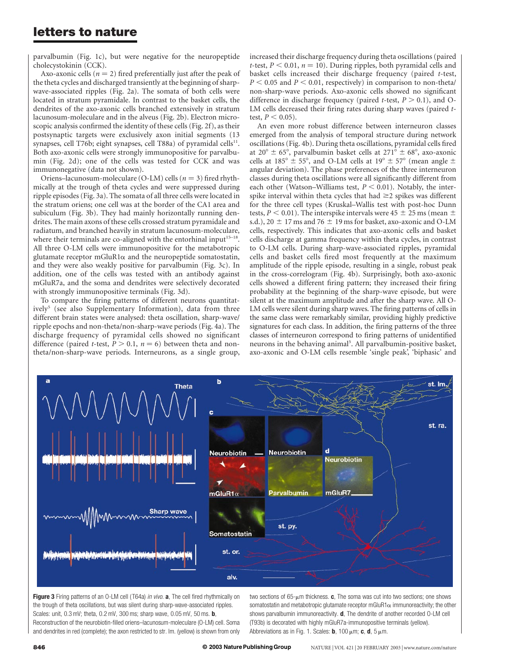parvalbumin (Fig. 1c), but were negative for the neuropeptide cholecystokinin (CCK).

Axo-axonic cells ( $n = 2$ ) fired preferentially just after the peak of the theta cycles and discharged transiently at the beginning of sharpwave-associated ripples (Fig. 2a). The somata of both cells were located in stratum pyramidale. In contrast to the basket cells, the dendrites of the axo-axonic cells branched extensively in stratum lacunosum-moleculare and in the alveus (Fig. 2b). Electron microscopic analysis confirmed the identity of these cells (Fig. 2f), as their postsynaptic targets were exclusively axon initial segments (13 synapses, cell T76b; eight synapses, cell T88a) of pyramidal cells<sup>11</sup>. Both axo-axonic cells were strongly immunopositive for parvalbumin (Fig. 2d); one of the cells was tested for CCK and was immunonegative (data not shown).

Oriens–lacunosum-moleculare (O-LM) cells ( $n = 3$ ) fired rhythmically at the trough of theta cycles and were suppressed during ripple episodes (Fig. 3a). The somata of all three cells were located in the stratum oriens; one cell was at the border of the CA1 area and subiculum (Fig. 3b). They had mainly horizontally running dendrites. The main axons of these cells crossed stratum pyramidale and radiatum, and branched heavily in stratum lacunosum-moleculare, where their terminals are co-aligned with the entorhinal input<sup>15–18</sup>. All three O-LM cells were immunopositive for the metabotropic glutamate receptor mGluR1 $\alpha$  and the neuropeptide somatostatin, and they were also weakly positive for parvalbumin (Fig. 3c). In addition, one of the cells was tested with an antibody against mGluR7a, and the soma and dendrites were selectively decorated with strongly immunopositive terminals (Fig. 3d).

To compare the firing patterns of different neurons quantitatively<sup>5</sup> (see also Supplementary Information), data from three different brain states were analysed: theta oscillation, sharp-wave/ ripple epochs and non-theta/non-sharp-wave periods (Fig. 4a). The discharge frequency of pyramidal cells showed no significant difference (paired *t*-test,  $P > 0.1$ ,  $n = 6$ ) between theta and nontheta/non-sharp-wave periods. Interneurons, as a single group, increased their discharge frequency during theta oscillations (paired t-test,  $P < 0.01$ ,  $n = 10$ ). During ripples, both pyramidal cells and basket cells increased their discharge frequency (paired t-test,  $P < 0.05$  and  $P < 0.01$ , respectively) in comparison to non-theta/ non-sharp-wave periods. Axo-axonic cells showed no significant difference in discharge frequency (paired *t*-test,  $P > 0.1$ ), and O-LM cells decreased their firing rates during sharp waves (paired ttest,  $P < 0.05$ ).

An even more robust difference between interneuron classes emerged from the analysis of temporal structure during network oscillations (Fig. 4b). During theta oscillations, pyramidal cells fired at 20°  $\pm$  65°, parvalbumin basket cells at 271°  $\pm$  68°, axo-axonic cells at 185°  $\pm$  55°, and O-LM cells at 19°  $\pm$  57° (mean angle  $\pm$ angular deviation). The phase preferences of the three interneuron classes during theta oscillations were all significantly different from each other (Watson–Williams test,  $P < 0.01$ ). Notably, the interspike interval within theta cycles that had  $\geq$ 2 spikes was different for the three cell types (Kruskal–Wallis test with post-hoc Dunn tests,  $P < 0.01$ ). The interspike intervals were 45  $\pm$  25 ms (mean  $\pm$ s.d.), 20  $\pm$  17 ms and 76  $\pm$  19 ms for basket, axo-axonic and O-LM cells, respectively. This indicates that axo-axonic cells and basket cells discharge at gamma frequency within theta cycles, in contrast to O-LM cells. During sharp-wave-associated ripples, pyramidal cells and basket cells fired most frequently at the maximum amplitude of the ripple episode, resulting in a single, robust peak in the cross-correlogram (Fig. 4b). Surprisingly, both axo-axonic cells showed a different firing pattern; they increased their firing probability at the beginning of the sharp-wave episode, but were silent at the maximum amplitude and after the sharp wave. All O-LM cells were silent during sharp waves. The firing patterns of cells in the same class were remarkably similar, providing highly predictive signatures for each class. In addition, the firing patterns of the three classes of interneuron correspond to firing patterns of unidentified neurons in the behaving animal<sup>5</sup>. All parvalbumin-positive basket, axo-axonic and O-LM cells resemble 'single peak', 'biphasic' and



Figure 3 Firing patterns of an O-LM cell (T64a) in vivo. a, The cell fired rhythmically on the trough of theta oscillations, but was silent during sharp-wave-associated ripples. Scales: unit, 0.3 mV; theta, 0.2 mV, 300 ms; sharp wave, 0.05 mV, 50 ms. b, Reconstruction of the neurobiotin-filled oriens–lacunosum-moleculare (O-LM) cell. Soma and dendrites in red (complete); the axon restricted to str. lm. (yellow) is shown from only

two sections of  $65$ - $\mu$ m thickness. c, The soma was cut into two sections; one shows somatostatin and metabotropic glutamate receptor mGluR1 $\alpha$  immunoreactivity; the other shows parvalbumin immunoreactivity. **d**, The dendrite of another recorded O-LM cell (T93b) is decorated with highly mGluR7a-immunopositive terminals (yellow). Abbreviations as in Fig. 1. Scales: **b**, 100  $\mu$ m; **c**, **d**, 5  $\mu$ m.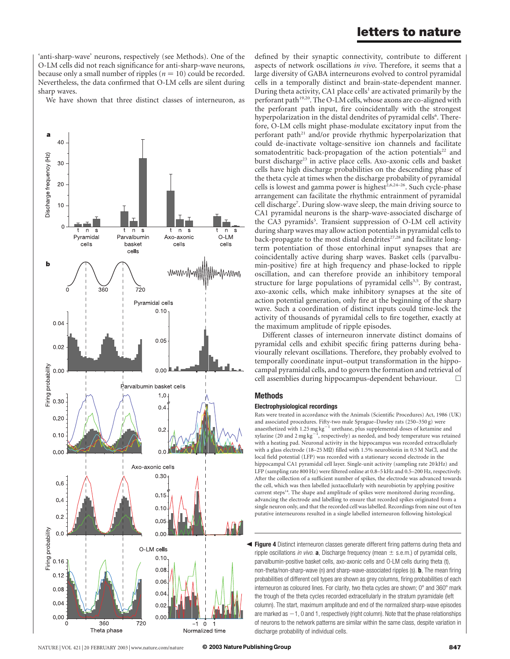'anti-sharp-wave' neurons, respectively (see Methods). One of the O-LM cells did not reach significance for anti-sharp-wave neurons, because only a small number of ripples ( $n = 10$ ) could be recorded. Nevertheless, the data confirmed that O-LM cells are silent during sharp waves.

We have shown that three distinct classes of interneuron, as



defined by their synaptic connectivity, contribute to different aspects of network oscillations in vivo. Therefore, it seems that a large diversity of GABA interneurons evolved to control pyramidal cells in a temporally distinct and brain-state-dependent manner. During theta activity, CA1 place cells<sup>1</sup> are activated primarily by the perforant path<sup>19,20</sup>. The O-LM cells, whose axons are co-aligned with the perforant path input, fire coincidentally with the strongest hyperpolarization in the distal dendrites of pyramidal cells<sup>6</sup>. Therefore, O-LM cells might phase-modulate excitatory input from the perforant path<sup>21</sup> and/or provide rhythmic hyperpolarization that could de-inactivate voltage-sensitive ion channels and facilitate somatodentritic back-propagation of the action potentials<sup>22</sup> and burst discharge<sup>23</sup> in active place cells. Axo-axonic cells and basket cells have high discharge probabilities on the descending phase of the theta cycle at times when the discharge probability of pyramidal cells is lowest and gamma power is highest<sup>2,6,24-26</sup>. Such cycle-phase arrangement can facilitate the rhythmic entrainment of pyramidal cell discharge<sup>7</sup>. During slow-wave sleep, the main driving source to CA1 pyramidal neurons is the sharp-wave-associated discharge of the CA3 pyramids<sup>5</sup>. Transient suppression of O-LM cell activity during sharp waves may allow action potentials in pyramidal cells to back-propagate to the most distal dendrites $27,28$  and facilitate longterm potentiation of those entorhinal input synapses that are coincidentally active during sharp waves. Basket cells (parvalbumin-positive) fire at high frequency and phase-locked to ripple oscillation, and can therefore provide an inhibitory temporal structure for large populations of pyramidal cells $3,5$ . By contrast, axo-axonic cells, which make inhibitory synapses at the site of action potential generation, only fire at the beginning of the sharp wave. Such a coordination of distinct inputs could time-lock the activity of thousands of pyramidal cells to fire together, exactly at the maximum amplitude of ripple episodes.

Different classes of interneuron innervate distinct domains of pyramidal cells and exhibit specific firing patterns during behaviourally relevant oscillations. Therefore, they probably evolved to temporally coordinate input–output transformation in the hippocampal pyramidal cells, and to govern the formation and retrieval of cell assemblies during hippocampus-dependent behaviour.  $\Box$ 

#### Methods

#### Electrophysiological recordings

Rats were treated in accordance with the Animals (Scientific Procedures) Act, 1986 (UK) and associated procedures. Fifty-two male Sprague–Dawley rats (250–350 g) were anaesthetized with 1.25 mg kg<sup>-1</sup> urethane, plus supplemental doses of ketamine and xylazine (20 and 2 mg  $\text{kg}^{-1}$ , respectively) as needed, and body temperature was retained with a heating pad. Neuronal activity in the hippocampus was recorded extracellularly with a glass electrode ( $18-25 \text{ M}\Omega$ ) filled with 1.5% neurobiotin in 0.5 M NaCl, and the local field potential (LFP) was recorded with a stationary second electrode in the hippocampal CA1 pyramidal cell layer. Single-unit activity (sampling rate 20 kHz) and LFP (sampling rate 800 Hz) were filtered online at 0.8–5 kHz and 0.5–200 Hz, respectively. After the collection of a sufficient number of spikes, the electrode was advanced towards the cell, which was then labelled juxtacellularly with neurobiotin by applying positive current steps<sup>14</sup>. The shape and amplitude of spikes were monitored during recording, advancing the electrode and labelling to ensure that recorded spikes originated from a single neuron only, and that the recorded cell was labelled. Recordings from nine out of ten putative interneurons resulted in a single labelled interneuron following histological

**Tigure 4** Distinct interneuron classes generate different firing patterns during theta and ripple oscillations in vivo. **a**, Discharge frequency (mean  $\pm$  s.e.m.) of pyramidal cells, parvalbumin-positive basket cells, axo-axonic cells and O-LM cells during theta (t), non-theta/non-sharp-wave (n) and sharp-wave-associated ripples (s). **b**, The mean firing probabilities of different cell types are shown as grey columns, firing probabilities of each interneuron as coloured lines. For clarity, two theta cycles are shown;  $0^\circ$  and 360 $^\circ$  mark the trough of the theta cycles recorded extracellularly in the stratum pyramidale (left column). The start, maximum amplitude and end of the normalized sharp-wave episodes are marked as  $-1$ , 0 and 1, respectively (right column). Note that the phase relationships of neurons to the network patterns are similar within the same class, despite variation in discharge probability of individual cells.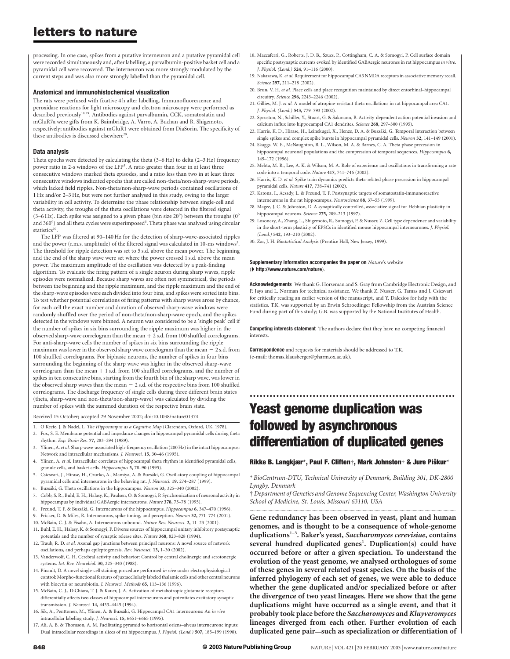processing. In one case, spikes from a putative interneuron and a putative pyramidal cell were recorded simultaneously and, after labelling, a parvalbumin-positive basket cell and a pyramidal cell were recovered. The interneuron was more strongly modulated by the current steps and was also more strongly labelled than the pyramidal cell.

#### Anatomical and immunohistochemical visualization

The rats were perfused with fixative 4 h after labelling. Immunofluorescence and peroxidase reactions for light microscopy and electron microscopy were performed as described previously18,29. Antibodies against parvalbumin, CCK, somatostatin and mGluR7a were gifts from K. Baimbridge, A. Varro, A. Buchan and R. Shigemoto, respectively; antibodies against mGluR1 were obtained from DiaSorin. The specificity of these antibodies is discussed elsewhere<sup>29</sup>.

#### Data analysis

Theta epochs were detected by calculating the theta (3–6 Hz) to delta (2–3 Hz) frequency power ratio in 2-s windows of the LFP<sup>5</sup>. A ratio greater than four in at least three consecutive windows marked theta episodes, and a ratio less than two in at least three consecutive windows indicated epochs that are called non-theta/non-sharp-wave periods, which lacked field ripples. Non-theta/non-sharp-wave periods contained oscillations of 1 Hz and/or 2–3 Hz, but were not further analysed in this study, owing to the larger variability in cell activity. To determine the phase relationship between single-cell and theta activity, the troughs of the theta oscillations were detected in the filtered signal (3–6 Hz). Each spike was assigned to a given phase (bin size 20 $^{\circ}$ ) between the troughs (0 $^{\circ}$ and 360°) and all theta cycles were superimposed<sup>5</sup>. Theta phase was analysed using circular statistics<sup>30</sup>

The LFP was filtered at 90–140 Hz for the detection of sharp-wave-associated ripples and the power (r.m.s. amplitude) of the filtered signal was calculated in 10-ms windows<sup>5</sup>. The threshold for ripple detection was set to 5 s.d. above the mean power. The beginning and the end of the sharp wave were set where the power crossed 1 s.d. above the mean power. The maximum amplitude of the oscillation was detected by a peak-finding algorithm. To evaluate the firing pattern of a single neuron during sharp waves, ripple episodes were normalized. Because sharp waves are often not symmetrical, the periods between the beginning and the ripple maximum, and the ripple maximum and the end of the sharp-wave episodes were each divided into four bins, and spikes were sorted into bins. To test whether potential correlations of firing patterns with sharp waves arose by chance, for each cell the exact number and duration of observed sharp-wave windows were randomly shuffled over the period of non-theta/non-sharp-wave epoch, and the spikes detected in the windows were binned. A neuron was considered to be a 'single peak' cell if the number of spikes in six bins surrounding the ripple maximum was higher in the observed sharp-wave correlogram than the mean  $+$  2 s.d. from 100 shuffled correlograms. For anti-sharp-wave cells the number of spikes in six bins surrounding the ripple maximum was lower in the observed sharp wave correlogram than the mean  $-2$  s.d. from 100 shuffled correlograms. For biphasic neurons, the number of spikes in four bins surrounding the beginning of the sharp wave was higher in the observed sharp-wave correlogram than the mean  $+$  1 s.d. from 100 shuffled correlograms, and the number of spikes in ten consecutive bins, starting from the fourth bin of the sharp wave, was lower in the observed sharp waves than the mean  $-2$  s.d. of the respective bins from 100 shuffled correlograms. The discharge frequency of single cells during three different brain states (theta, sharp-wave and non-theta/non-sharp-wave) was calculated by dividing the number of spikes with the summed duration of the respective brain state.

Received 15 October; accepted 29 November 2002; doi:10.1038/nature01374.

- 1. O'Keefe, J. & Nadel, L. The Hippocampus as a Cognitive Map (Clarendon, Oxford, UK, 1978).
- 2. Fox, S. E. Membrane potential and impedance changes in hippocampal pyramidal cells during theta rhythm. Exp. Brain Res. 77, 283–294 (1989).
- 3. Ylinen, A. et al. Sharp wave-associated high-frequency oscillation (200 Hz) in the intact hippocampus: Network and intracellular mechanisms. J. Neurosci. 15, 30–46 (1995).
- 4. Ylinen, A. et al. Intracellular correlates of hippocampal theta rhythm in identified pyramidal cells, granule cells, and basket cells. Hippocampus 5, 78–90 (1995).
- 5. Csicsvari, J., Hirase, H., Czurko, A., Mamiya, A. & Buzsa´ki, G. Oscillatory coupling of hippocampal pyramidal cells and interneurons in the behaving rat. J. Neurosci. 19, 274–287 (1999).
- 6. Buzsa´ki, G. Theta oscillations in the hippocampus. Neuron 33, 325–340 (2002).
- 7. Cobb, S. R., Buhl, E. H., Halasy, K., Paulsen, O. & Somogyi, P. Synchronization of neuronal activity in hippocampus by individual GABAergic interneurons. Nature 378, 75–78 (1995).
- 8. Freund, T. F. & Buzsáki, G. Interneurons of the hippocampus. Hippocampus 6, 347-470 (1996).
- 9. Fricker, D. & Miles, R. Interneurons, spike timing, and perception. Neuron 32, 771-774 (2001).
- 10. McBain, C. J. & Fisahn, A. Interneurons unbound. Nature Rev. Neurosci. 2, 11–23 (2001).
- 11. Buhl, E. H., Halasy, K. & Somogyi, P. Diverse sources of hippocampal unitary inhibitory postsynaptic potentials and the number of synaptic release sites. Nature 368, 823–828 (1994).
- 12. Traub, R. D. et al. Axonal gap junctions between principal neurons: A novel source of network oscillations, and perhaps epileptogenesis. Rev. Neurosci. 13, 1–30 (2002).
- 13. Vanderwolf, C. H. Cerebral activity and behavior: Control by central cholinergic and serotonergic systems. Int. Rev. Neurobiol. 30, 225–340 (1988).
- 14. Pinault, D. A novel single-cell staining procedure performed in vivo under electrophysiological control: Morpho-functional features of juxtacellularly labeled thalamic cells and other central neurons with biocytin or neurobiotin. J. Neurosci. Methods 65, 113-136 (1996).
- 15. McBain, C. J., DiChiara, T. J. & Kauer, J. A. Activation of metabotropic glutamate receptors differentially affects two classes of hippocampal interneurons and potentiates excitatory synaptic transmission. J. Neurosci. 14, 4433–4445 (1994).
- 16. Sik, A., Penttonen, M., Ylinen, A. & Buzsáki, G. Hippocampal CA1 interneurons: An in vivo intracellular labeling study. J. Neurosci. 15, 6651–6665 (1995).
- 17. Ali, A. B. & Thomson, A. M. Facilitating pyramid to horizontal oriens–alveus interneurone inputs: Dual intracellular recordings in slices of rat hippocampus. J. Physiol. (Lond.) 507, 185–199 (1998).
- 18. Maccaferri, G., Roberts, J. D. B., Szucs, P., Cottingham, C. A. & Somogyi, P. Cell surface domain specific postsynaptic currents evoked by identified GABAergic neurones in rat hippocampus in vitro. J. Physiol. (Lond.) 524, 91–116 (2000).
- 19. Nakazawa, K. et al. Requirement for hippocampal CA3 NMDA receptors in associative memory recall. Science 297, 211–218 (2002).
- 20. Brun, V. H. et al. Place cells and place recognition maintained by direct entorhinal–hippocampal circuitry. Science 296, 2243–2246 (2002).
- 21. Gillies, M. J. et al. A model of atropine-resistant theta oscillations in rat hippocampal area CA1. J. Physiol. (Lond.) 543, 779–793 (2002).
- 22. Spruston, N., Schiller, Y., Stuart, G. & Sakmann, B. Activity-dependent action potential invasion and calcium influx into hippocampal CA1 dendrites. Science 268, 297–300 (1995).
- 23. Harris, K. D., Hirase, H., Leinekugel, X., Henze, D. A. & Buzsáki, G. Temporal interaction between single spikes and complex spike bursts in hippocampal pyramidal cells. Neuron 32, 141–149 (2001).
- 24. Skaggs, W. E., McNaughton, B. L., Wilson, M. A. & Barnes, C. A. Theta phase precession in hippocampal neuronal populations and the compression of temporal sequences. Hippocampus 6, 149–172 (1996).
- 25. Mehta, M. R., Lee, A. K. & Wilson, M. A. Role of experience and oscillations in transforming a rate code into a temporal code. Nature 417, 741–746 (2002).
- 26. Harris, K. D. et al. Spike train dynamics predicts theta-related phase precession in hippocampal pyramidal cells. Nature 417, 738–741 (2002).
- 27. Katona, I., Acsady, L. & Freund, T. F. Postsynaptic targets of somatostatin-immunoreactive interneurons in the rat hippocampus. Neuroscience 88, 37–55 (1999).
- 28. Magee, J. C. & Johnston, D. A synaptically controlled, associative signal for Hebbian plasticity in hippocampal neurons. Science 275, 209-213 (1997).
- 29. Losonczy, A., Zhang, L., Shigemoto, R., Somogyi, P. & Nusser, Z. Cell type dependence and variability in the short-term plasticity of EPSCs in identified mouse hippocampal interneurones. J. Physiol. (Lond.) 542, 193–210 (2002).
- 30. Zar, J. H. Biostatistical Analysis (Prentice Hall, New Jersey, 1999).

Supplementary Information accompanies the paper on Nature's website (ç http://www.nature.com/nature).

Acknowledgements We thank G. Horseman and S. Gray from Cambridge Electronic Design, and P. Jays and L. Norman for technical assistance. We thank Z. Nusser, G. Tamas and J. Csicsvari for critically reading an earlier version of the manuscript, and Y. Dalezios for help with the statistics. T.K. was supported by an Erwin Schroedinger Fellowship from the Austrian Science Fund during part of this study; G.B. was supported by the National Institutes of Health.

**Competing interests statement** The authors declare that they have no competing financial interests.

**Correspondence** and requests for materials should be addressed to T.K. (e-mail: thomas.klausberger@pharm.ox.ac.uk).

# Yeast genome duplication was followed by asynchronous differentiation of duplicated genes

..............................................................

### Rikke B. Langkjær\*, Paul F. Cliften $\dagger$ , Mark Johnston $\dagger$  & Jure Piškur\*

\* BioCentrum-DTU, Technical University of Denmark, Building 301, DK-2800 Lyngby, Denmark

† Department of Genetics and Genome Sequencing Center, Washington University School of Medicine, St. Louis, Missouri 63110, USA

............................................................................................................................................................................. Gene redundancy has been observed in yeast, plant and human genomes, and is thought to be a consequence of whole-genome duplications<sup>1-3</sup>. Baker's yeast, Saccharomyces cerevisiae, contains several hundred duplicated genes<sup>1</sup>. Duplication(s) could have occurred before or after a given speciation. To understand the evolution of the yeast genome, we analysed orthologues of some of these genes in several related yeast species. On the basis of the inferred phylogeny of each set of genes, we were able to deduce whether the gene duplicated and/or specialized before or after the divergence of two yeast lineages. Here we show that the gene duplications might have occurred as a single event, and that it probably took place before the Saccharomyces and Kluyveromyces lineages diverged from each other. Further evolution of each duplicated gene pair—such as specialization or differentiation of